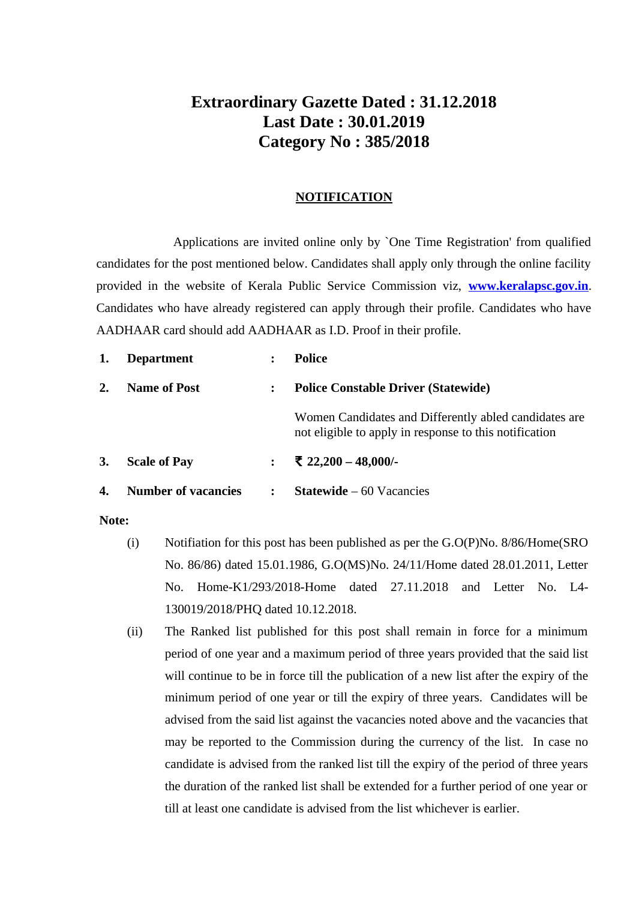# **Extraordinary Gazette Dated : 31.12.2018 Last Date : 30.01.2019 Category No : 385/2018**

#### **NOTIFICATION**

Applications are invited online only by `One Time Registration' from qualified candidates for the post mentioned below. Candidates shall apply only through the online facility provided in the website of Kerala Public Service Commission viz, **[www.keralapsc.gov.in](http://www.keralapsc.gov.in/)**. Candidates who have already registered can apply through their profile. Candidates who have AADHAAR card should add AADHAAR as I.D. Proof in their profile.

| 1.        | <b>Department</b>          | $\ddot{\phantom{a}}$ | Police                                                                                                          |  |
|-----------|----------------------------|----------------------|-----------------------------------------------------------------------------------------------------------------|--|
| 2.        | <b>Name of Post</b>        | :                    | <b>Police Constable Driver (Statewide)</b>                                                                      |  |
|           |                            |                      | Women Candidates and Differently abled candidates are<br>not eligible to apply in response to this notification |  |
| <b>3.</b> | <b>Scale of Pay</b>        | $\ddot{\cdot}$       | ₹ 22,200 - 48,000/-                                                                                             |  |
| 4.        | <b>Number of vacancies</b> | $\ddot{\phantom{a}}$ | <b>Statewide</b> $-60$ Vacancies                                                                                |  |

#### **Note:**

- (i) Notifiation for this post has been published as per the G.O(P)No. 8/86/Home(SRO No. 86/86) dated 15.01.1986, G.O(MS)No. 24/11/Home dated 28.01.2011, Letter No. Home-K1/293/2018-Home dated 27.11.2018 and Letter No. L4- 130019/2018/PHQ dated 10.12.2018.
- (ii) The Ranked list published for this post shall remain in force for a minimum period of one year and a maximum period of three years provided that the said list will continue to be in force till the publication of a new list after the expiry of the minimum period of one year or till the expiry of three years. Candidates will be advised from the said list against the vacancies noted above and the vacancies that may be reported to the Commission during the currency of the list. In case no candidate is advised from the ranked list till the expiry of the period of three years the duration of the ranked list shall be extended for a further period of one year or till at least one candidate is advised from the list whichever is earlier.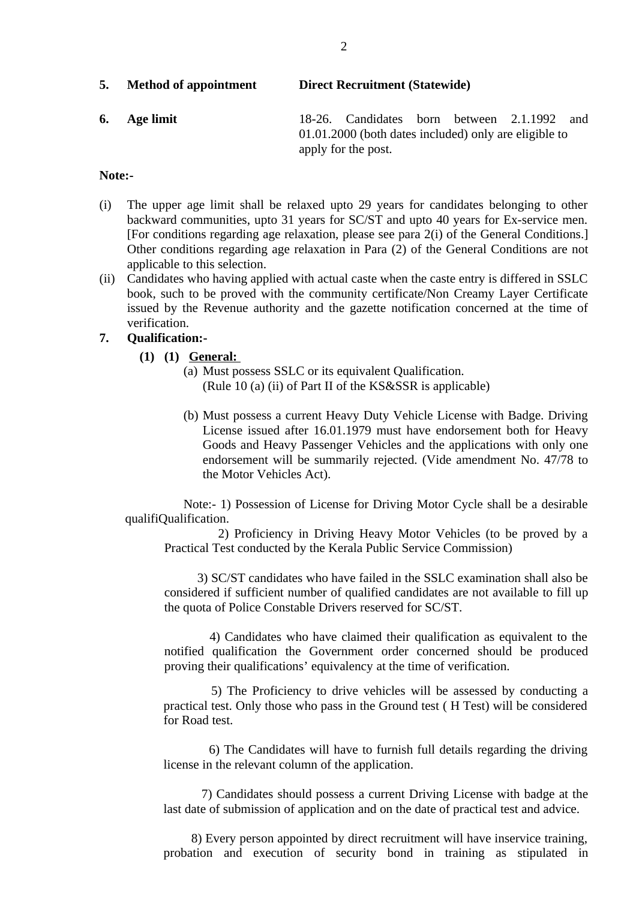| 5. | <b>Method of appointment</b> | <b>Direct Recruitment (Statewide)</b> |  |
|----|------------------------------|---------------------------------------|--|
|----|------------------------------|---------------------------------------|--|

**6. Age limit** 18-26. Candidates born between 2.1.1992 and 01.01.2000 (both dates included) only are eligible to apply for the post.

#### **Note:-**

- (i) The upper age limit shall be relaxed upto 29 years for candidates belonging to other backward communities, upto 31 years for SC/ST and upto 40 years for Ex-service men. [For conditions regarding age relaxation, please see para 2(i) of the General Conditions.] Other conditions regarding age relaxation in Para (2) of the General Conditions are not applicable to this selection.
- (ii) Candidates who having applied with actual caste when the caste entry is differed in SSLC book, such to be proved with the community certificate/Non Creamy Layer Certificate issued by the Revenue authority and the gazette notification concerned at the time of verification.

#### **7. Qualification:-**

- **(1) (1) General:**
	- (a) Must possess SSLC or its equivalent Qualification. (Rule 10 (a) (ii) of Part II of the KS&SSR is applicable)
	- (b) Must possess a current Heavy Duty Vehicle License with Badge. Driving License issued after 16.01.1979 must have endorsement both for Heavy Goods and Heavy Passenger Vehicles and the applications with only one endorsement will be summarily rejected. (Vide amendment No. 47/78 to the Motor Vehicles Act).

Note:- 1) Possession of License for Driving Motor Cycle shall be a desirable qualifiQualification.

 2) Proficiency in Driving Heavy Motor Vehicles (to be proved by a Practical Test conducted by the Kerala Public Service Commission)

 3) SC/ST candidates who have failed in the SSLC examination shall also be considered if sufficient number of qualified candidates are not available to fill up the quota of Police Constable Drivers reserved for SC/ST.

 4) Candidates who have claimed their qualification as equivalent to the notified qualification the Government order concerned should be produced proving their qualifications' equivalency at the time of verification.

 5) The Proficiency to drive vehicles will be assessed by conducting a practical test. Only those who pass in the Ground test ( H Test) will be considered for Road test.

 6) The Candidates will have to furnish full details regarding the driving license in the relevant column of the application.

 7) Candidates should possess a current Driving License with badge at the last date of submission of application and on the date of practical test and advice.

 8) Every person appointed by direct recruitment will have inservice training, probation and execution of security bond in training as stipulated in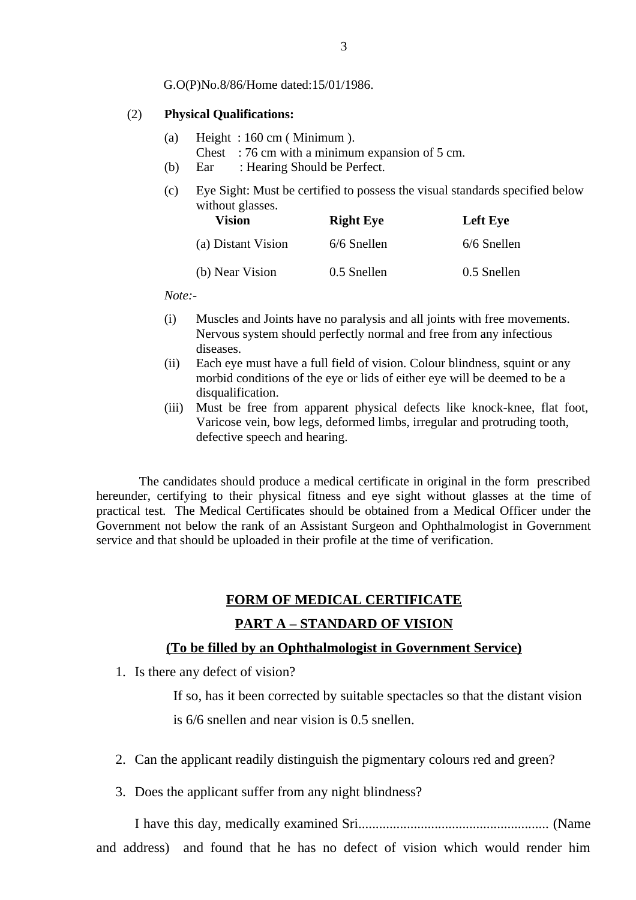G.O(P)No.8/86/Home dated:15/01/1986.

#### (2) **Physical Qualifications:**

- (a) Height : 160 cm ( Minimum ).
	- Chest : 76 cm with a minimum expansion of 5 cm.
- (b) Ear : Hearing Should be Perfect.
- (c) Eye Sight: Must be certified to possess the visual standards specified below without glasses.

| <b>Vision</b>      | <b>Right Eye</b> | <b>Left Eye</b> |
|--------------------|------------------|-----------------|
| (a) Distant Vision | 6/6 Snellen      | 6/6 Snellen     |
| (b) Near Vision    | 0.5 Snellen      | 0.5 Snellen     |

*Note:-*

- (i) Muscles and Joints have no paralysis and all joints with free movements. Nervous system should perfectly normal and free from any infectious diseases.
- (ii) Each eye must have a full field of vision. Colour blindness, squint or any morbid conditions of the eye or lids of either eye will be deemed to be a disqualification.
- (iii) Must be free from apparent physical defects like knock-knee, flat foot, Varicose vein, bow legs, deformed limbs, irregular and protruding tooth, defective speech and hearing.

 The candidates should produce a medical certificate in original in the form prescribed hereunder, certifying to their physical fitness and eye sight without glasses at the time of practical test. The Medical Certificates should be obtained from a Medical Officer under the Government not below the rank of an Assistant Surgeon and Ophthalmologist in Government service and that should be uploaded in their profile at the time of verification.

## **FORM OF MEDICAL CERTIFICATE PART A – STANDARD OF VISION**

#### **(To be filled by an Ophthalmologist in Government Service)**

1. Is there any defect of vision?

If so, has it been corrected by suitable spectacles so that the distant vision is 6/6 snellen and near vision is 0.5 snellen.

- 2. Can the applicant readily distinguish the pigmentary colours red and green?
- 3. Does the applicant suffer from any night blindness?

I have this day, medically examined Sri....................................................... (Name and address) and found that he has no defect of vision which would render him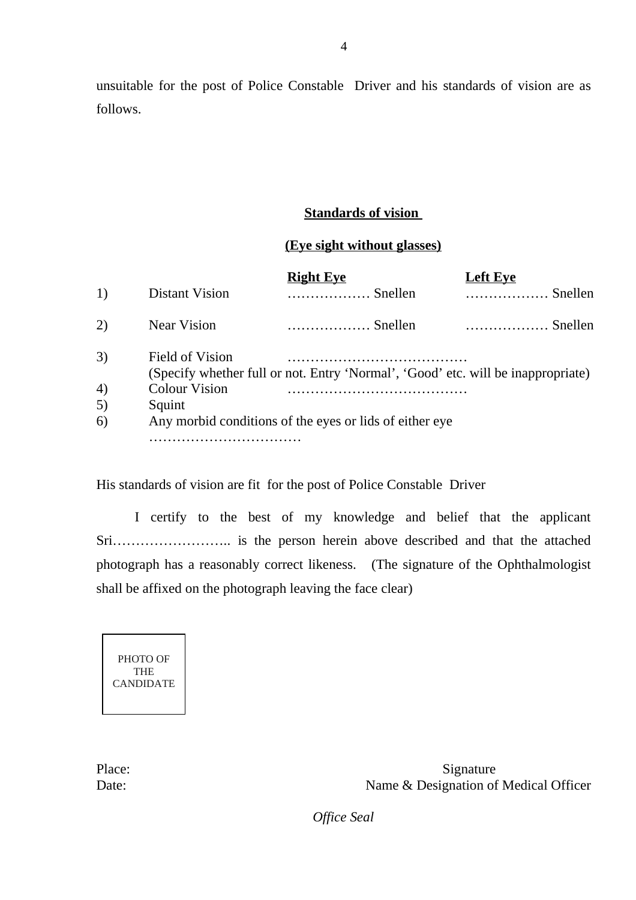unsuitable for the post of Police Constable Driver and his standards of vision are as follows.

## **Standards of vision**

### **(Eye sight without glasses)**

|    |                                                         | Right Eve                                                                        | Left Eve |  |  |
|----|---------------------------------------------------------|----------------------------------------------------------------------------------|----------|--|--|
| 1) | <b>Distant Vision</b>                                   | $\ldots$ Snellen                                                                 | Snellen  |  |  |
| 2) | <b>Near Vision</b>                                      | Snellen                                                                          | Snellen  |  |  |
| 3) | <b>Field of Vision</b>                                  | (Specify whether full or not. Entry 'Normal', 'Good' etc. will be inappropriate) |          |  |  |
| 4) | <b>Colour Vision</b>                                    |                                                                                  |          |  |  |
| 5) | Squint                                                  |                                                                                  |          |  |  |
| 6) | Any morbid conditions of the eyes or lids of either eye |                                                                                  |          |  |  |
|    |                                                         |                                                                                  |          |  |  |

His standards of vision are fit for the post of Police Constable Driver

I certify to the best of my knowledge and belief that the applicant Sri…………………….. is the person herein above described and that the attached photograph has a reasonably correct likeness. (The signature of the Ophthalmologist shall be affixed on the photograph leaving the face clear)

PHOTO OF THE CANDIDATE

Place: Signature Date: Name & Designation of Medical Officer

*Office Seal*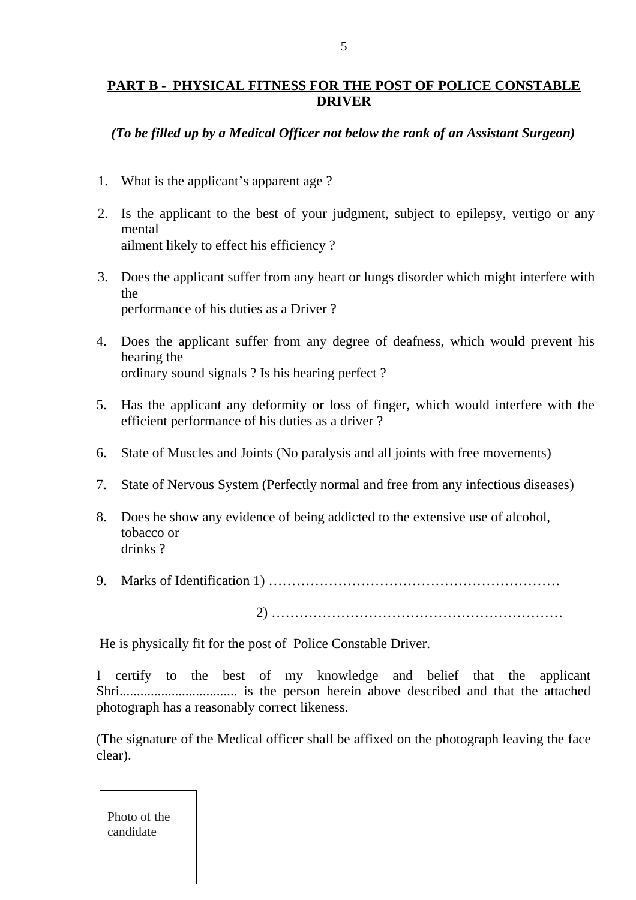## **PART B - PHYSICAL FITNESS FOR THE POST OF POLICE CONSTABLE DRIVER**

## *(To be filled up by a Medical Officer not below the rank of an Assistant Surgeon)*

- 1. What is the applicant's apparent age ?
- 2. Is the applicant to the best of your judgment, subject to epilepsy, vertigo or any mental ailment likely to effect his efficiency ?
- 3. Does the applicant suffer from any heart or lungs disorder which might interfere with the performance of his duties as a Driver ?
- 4. Does the applicant suffer from any degree of deafness, which would prevent his hearing the ordinary sound signals ? Is his hearing perfect ?
- 5. Has the applicant any deformity or loss of finger, which would interfere with the efficient performance of his duties as a driver ?
- 6. State of Muscles and Joints (No paralysis and all joints with free movements)
- 7. State of Nervous System (Perfectly normal and free from any infectious diseases)
- 8. Does he show any evidence of being addicted to the extensive use of alcohol, tobacco or drinks ?
- 9. Marks of Identification 1) ………………………………………………………

2) ………………………………………………………

He is physically fit for the post of Police Constable Driver.

I certify to the best of my knowledge and belief that the applicant Shri.................................. is the person herein above described and that the attached photograph has a reasonably correct likeness.

(The signature of the Medical officer shall be affixed on the photograph leaving the face clear).

Photo of the candidate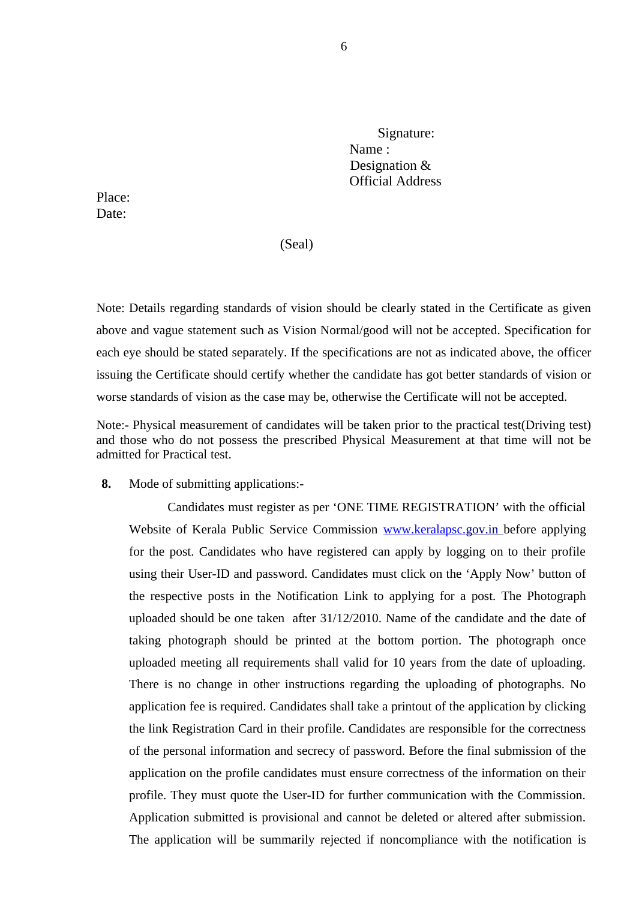Signature: Name : Designation & Official Address

Place: Date:

(Seal)

Note: Details regarding standards of vision should be clearly stated in the Certificate as given above and vague statement such as Vision Normal/good will not be accepted. Specification for each eye should be stated separately. If the specifications are not as indicated above, the officer issuing the Certificate should certify whether the candidate has got better standards of vision or worse standards of vision as the case may be, otherwise the Certificate will not be accepted.

Note:- Physical measurement of candidates will be taken prior to the practical test(Driving test) and those who do not possess the prescribed Physical Measurement at that time will not be admitted for Practical test.

**8.** Mode of submitting applications:-

Candidates must register as per 'ONE TIME REGISTRATION' with the official Website of Kerala Public Service Commission [www.keralapsc.g](http://www.keralapsc.org/)ov.in before applying for the post. Candidates who have registered can apply by logging on to their profile using their User-ID and password. Candidates must click on the 'Apply Now' button of the respective posts in the Notification Link to applying for a post. The Photograph uploaded should be one taken after 31/12/2010. Name of the candidate and the date of taking photograph should be printed at the bottom portion. The photograph once uploaded meeting all requirements shall valid for 10 years from the date of uploading. There is no change in other instructions regarding the uploading of photographs. No application fee is required. Candidates shall take a printout of the application by clicking the link Registration Card in their profile. Candidates are responsible for the correctness of the personal information and secrecy of password. Before the final submission of the application on the profile candidates must ensure correctness of the information on their profile. They must quote the User-ID for further communication with the Commission. Application submitted is provisional and cannot be deleted or altered after submission. The application will be summarily rejected if noncompliance with the notification is